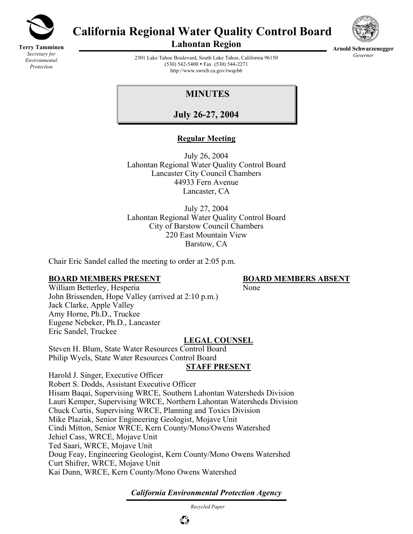

**Terry Tamminen** *Secretary for Environmental Protection*

# **California Regional Water Quality Control Board**



**Lahontan Region** 

**Arnold Schwarzenegger** *Governor* 

2501 Lake Tahoe Boulevard, South Lake Tahoe, California 96150 (530) 542-5400 • Fax (530) 544-2271 http://www.swrcb.ca.gov/rwqcb6

## **MINUTES**

**July 26-27, 2004**

## **Regular Meeting**

July 26, 2004 Lahontan Regional Water Quality Control Board Lancaster City Council Chambers 44933 Fern Avenue Lancaster, CA

July 27, 2004 Lahontan Regional Water Quality Control Board City of Barstow Council Chambers 220 East Mountain View Barstow, CA

Chair Eric Sandel called the meeting to order at 2:05 p.m.

## **BOARD MEMBERS PRESENT BOARD MEMBERS ABSENT**

William Betterley, Hesperia None John Brissenden, Hope Valley (arrived at 2:10 p.m.) Jack Clarke, Apple Valley Amy Horne, Ph.D., Truckee Eugene Nebeker, Ph.D., Lancaster Eric Sandel, Truckee

#### **LEGAL COUNSEL**

Steven H. Blum, State Water Resources Control Board Philip Wyels, State Water Resources Control Board

## **STAFF PRESENT**

Harold J. Singer, Executive Officer Robert S. Dodds, Assistant Executive Officer Hisam Baqai, Supervising WRCE, Southern Lahontan Watersheds Division Lauri Kemper, Supervising WRCE, Northern Lahontan Watersheds Division Chuck Curtis, Supervising WRCE, Planning and Toxics Division Mike Plaziak, Senior Engineering Geologist, Mojave Unit Cindi Mitton, Senior WRCE, Kern County/Mono/Owens Watershed Jehiel Cass, WRCE, Mojave Unit Ted Saari, WRCE, Mojave Unit Doug Feay, Engineering Geologist, Kern County/Mono Owens Watershed Curt Shifrer, WRCE, Mojave Unit Kai Dunn, WRCE, Kern County/Mono Owens Watershed

*California Environmental Protection Agency*

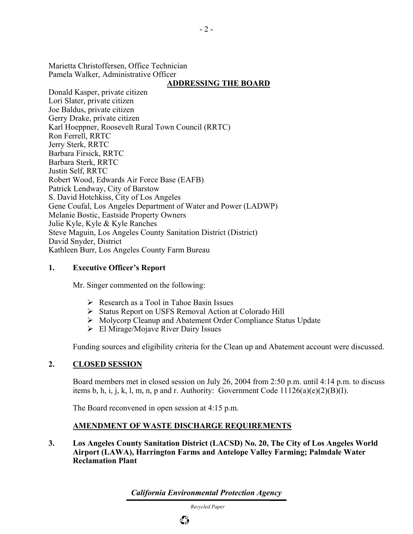Marietta Christoffersen, Office Technician Pamela Walker, Administrative Officer

## **ADDRESSING THE BOARD**

Donald Kasper, private citizen Lori Slater, private citizen Joe Baldus, private citizen Gerry Drake, private citizen Karl Hoeppner, Roosevelt Rural Town Council (RRTC) Ron Ferrell, RRTC Jerry Sterk, RRTC Barbara Firsick, RRTC Barbara Sterk, RRTC Justin Self, RRTC Robert Wood, Edwards Air Force Base (EAFB) Patrick Lendway, City of Barstow S. David Hotchkiss, City of Los Angeles Gene Coufal, Los Angeles Department of Water and Power (LADWP) Melanie Bostic, Eastside Property Owners Julie Kyle, Kyle & Kyle Ranches Steve Maguin, Los Angeles County Sanitation District (District) David Snyder, District Kathleen Burr, Los Angeles County Farm Bureau

#### **1. Executive Officer's Report**

Mr. Singer commented on the following:

- $\triangleright$  Research as a Tool in Tahoe Basin Issues
- ¾ Status Report on USFS Removal Action at Colorado Hill
- ¾ Molycorp Cleanup and Abatement Order Compliance Status Update
- $\triangleright$  El Mirage/Mojave River Dairy Issues

Funding sources and eligibility criteria for the Clean up and Abatement account were discussed.

## **2. CLOSED SESSION**

Board members met in closed session on July 26, 2004 from 2:50 p.m. until 4:14 p.m. to discuss items b, h, i, j, k, l, m, n, p and r. Authority: Government Code  $11126(a)(e)(2)(B)(I)$ .

The Board reconvened in open session at 4:15 p.m.

## **AMENDMENT OF WASTE DISCHARGE REQUIREMENTS**

## **3. Los Angeles County Sanitation District (LACSD) No. 20, The City of Los Angeles World Airport (LAWA), Harrington Farms and Antelope Valley Farming; Palmdale Water Reclamation Plant**

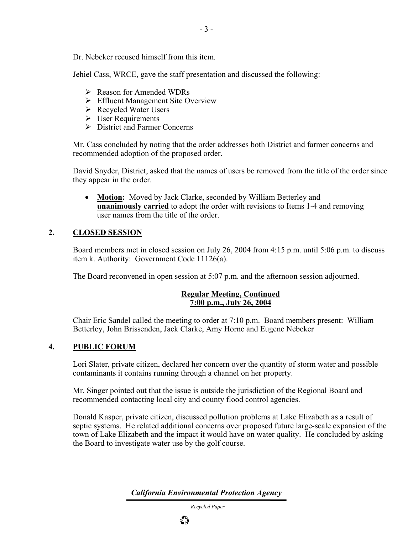Dr. Nebeker recused himself from this item.

Jehiel Cass, WRCE, gave the staff presentation and discussed the following:

- $\triangleright$  Reason for Amended WDRs
- $\triangleright$  Effluent Management Site Overview
- $\triangleright$  Recycled Water Users
- $\triangleright$  User Requirements
- $\triangleright$  District and Farmer Concerns

Mr. Cass concluded by noting that the order addresses both District and farmer concerns and recommended adoption of the proposed order.

David Snyder, District, asked that the names of users be removed from the title of the order since they appear in the order.

• **Motion:** Moved by Jack Clarke, seconded by William Betterley and **unanimously carried** to adopt the order with revisions to Items 1-4 and removing user names from the title of the order.

## **2. CLOSED SESSION**

Board members met in closed session on July 26, 2004 from 4:15 p.m. until 5:06 p.m. to discuss item k. Authority: Government Code 11126(a).

The Board reconvened in open session at 5:07 p.m. and the afternoon session adjourned.

## **Regular Meeting, Continued 7:00 p.m., July 26, 2004**

Chair Eric Sandel called the meeting to order at 7:10 p.m. Board members present: William Betterley, John Brissenden, Jack Clarke, Amy Horne and Eugene Nebeker

## **4. PUBLIC FORUM**

Lori Slater, private citizen, declared her concern over the quantity of storm water and possible contaminants it contains running through a channel on her property.

Mr. Singer pointed out that the issue is outside the jurisdiction of the Regional Board and recommended contacting local city and county flood control agencies.

Donald Kasper, private citizen, discussed pollution problems at Lake Elizabeth as a result of septic systems. He related additional concerns over proposed future large-scale expansion of the town of Lake Elizabeth and the impact it would have on water quality. He concluded by asking the Board to investigate water use by the golf course.

*California Environmental Protection Agency*

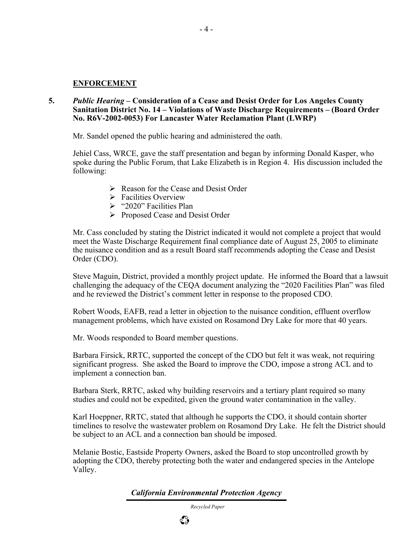#### **ENFORCEMENT**

**5.** *Public Hearing* **– Consideration of a Cease and Desist Order for Los Angeles County Sanitation District No. 14 – Violations of Waste Discharge Requirements – (Board Order No. R6V-2002-0053) For Lancaster Water Reclamation Plant (LWRP)** 

Mr. Sandel opened the public hearing and administered the oath.

Jehiel Cass, WRCE, gave the staff presentation and began by informing Donald Kasper, who spoke during the Public Forum, that Lake Elizabeth is in Region 4. His discussion included the following:

- $\triangleright$  Reason for the Cease and Desist Order
- $\triangleright$  Facilities Overview
- $\geq$  "2020" Facilities Plan
- ¾ Proposed Cease and Desist Order

Mr. Cass concluded by stating the District indicated it would not complete a project that would meet the Waste Discharge Requirement final compliance date of August 25, 2005 to eliminate the nuisance condition and as a result Board staff recommends adopting the Cease and Desist Order (CDO).

Steve Maguin, District, provided a monthly project update. He informed the Board that a lawsuit challenging the adequacy of the CEQA document analyzing the "2020 Facilities Plan" was filed and he reviewed the District's comment letter in response to the proposed CDO.

Robert Woods, EAFB, read a letter in objection to the nuisance condition, effluent overflow management problems, which have existed on Rosamond Dry Lake for more that 40 years.

Mr. Woods responded to Board member questions.

Barbara Firsick, RRTC, supported the concept of the CDO but felt it was weak, not requiring significant progress. She asked the Board to improve the CDO, impose a strong ACL and to implement a connection ban.

Barbara Sterk, RRTC, asked why building reservoirs and a tertiary plant required so many studies and could not be expedited, given the ground water contamination in the valley.

Karl Hoeppner, RRTC, stated that although he supports the CDO, it should contain shorter timelines to resolve the wastewater problem on Rosamond Dry Lake. He felt the District should be subject to an ACL and a connection ban should be imposed.

Melanie Bostic, Eastside Property Owners, asked the Board to stop uncontrolled growth by adopting the CDO, thereby protecting both the water and endangered species in the Antelope Valley.

*California Environmental Protection Agency*

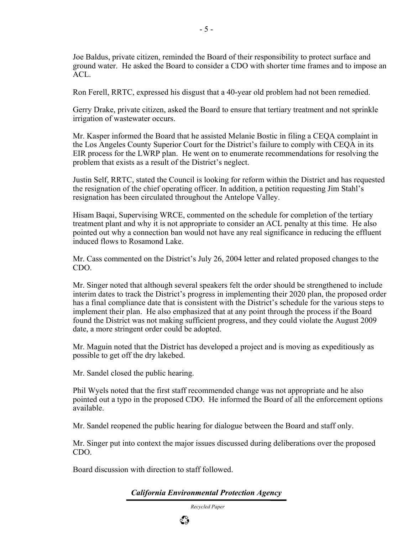Joe Baldus, private citizen, reminded the Board of their responsibility to protect surface and ground water. He asked the Board to consider a CDO with shorter time frames and to impose an ACL.

Ron Ferell, RRTC, expressed his disgust that a 40-year old problem had not been remedied.

Gerry Drake, private citizen, asked the Board to ensure that tertiary treatment and not sprinkle irrigation of wastewater occurs.

Mr. Kasper informed the Board that he assisted Melanie Bostic in filing a CEQA complaint in the Los Angeles County Superior Court for the District's failure to comply with CEQA in its EIR process for the LWRP plan. He went on to enumerate recommendations for resolving the problem that exists as a result of the District's neglect.

Justin Self, RRTC, stated the Council is looking for reform within the District and has requested the resignation of the chief operating officer. In addition, a petition requesting Jim Stahl's resignation has been circulated throughout the Antelope Valley.

Hisam Baqai, Supervising WRCE, commented on the schedule for completion of the tertiary treatment plant and why it is not appropriate to consider an ACL penalty at this time. He also pointed out why a connection ban would not have any real significance in reducing the effluent induced flows to Rosamond Lake.

Mr. Cass commented on the District's July 26, 2004 letter and related proposed changes to the CDO.

Mr. Singer noted that although several speakers felt the order should be strengthened to include interim dates to track the District's progress in implementing their 2020 plan, the proposed order has a final compliance date that is consistent with the District's schedule for the various steps to implement their plan. He also emphasized that at any point through the process if the Board found the District was not making sufficient progress, and they could violate the August 2009 date, a more stringent order could be adopted.

Mr. Maguin noted that the District has developed a project and is moving as expeditiously as possible to get off the dry lakebed.

Mr. Sandel closed the public hearing.

Phil Wyels noted that the first staff recommended change was not appropriate and he also pointed out a typo in the proposed CDO. He informed the Board of all the enforcement options available.

Mr. Sandel reopened the public hearing for dialogue between the Board and staff only.

Mr. Singer put into context the major issues discussed during deliberations over the proposed CDO.

Board discussion with direction to staff followed.

## *California Environmental Protection Agency*

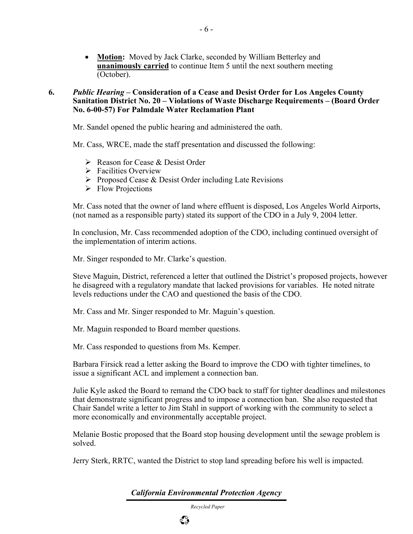• **Motion:** Moved by Jack Clarke, seconded by William Betterley and **unanimously carried** to continue Item 5 until the next southern meeting (October).

#### **6.** *Public Hearing* **– Consideration of a Cease and Desist Order for Los Angeles County Sanitation District No. 20 – Violations of Waste Discharge Requirements – (Board Order No. 6-00-57) For Palmdale Water Reclamation Plant**

Mr. Sandel opened the public hearing and administered the oath.

Mr. Cass, WRCE, made the staff presentation and discussed the following:

- $\triangleright$  Reason for Cease & Desist Order
- $\triangleright$  Facilities Overview
- $\triangleright$  Proposed Cease & Desist Order including Late Revisions
- $\triangleright$  Flow Projections

Mr. Cass noted that the owner of land where effluent is disposed, Los Angeles World Airports, (not named as a responsible party) stated its support of the CDO in a July 9, 2004 letter.

In conclusion, Mr. Cass recommended adoption of the CDO, including continued oversight of the implementation of interim actions.

Mr. Singer responded to Mr. Clarke's question.

Steve Maguin, District, referenced a letter that outlined the District's proposed projects, however he disagreed with a regulatory mandate that lacked provisions for variables. He noted nitrate levels reductions under the CAO and questioned the basis of the CDO.

Mr. Cass and Mr. Singer responded to Mr. Maguin's question.

Mr. Maguin responded to Board member questions.

Mr. Cass responded to questions from Ms. Kemper.

Barbara Firsick read a letter asking the Board to improve the CDO with tighter timelines, to issue a significant ACL and implement a connection ban.

Julie Kyle asked the Board to remand the CDO back to staff for tighter deadlines and milestones that demonstrate significant progress and to impose a connection ban. She also requested that Chair Sandel write a letter to Jim Stahl in support of working with the community to select a more economically and environmentally acceptable project.

Melanie Bostic proposed that the Board stop housing development until the sewage problem is solved.

Jerry Sterk, RRTC, wanted the District to stop land spreading before his well is impacted.

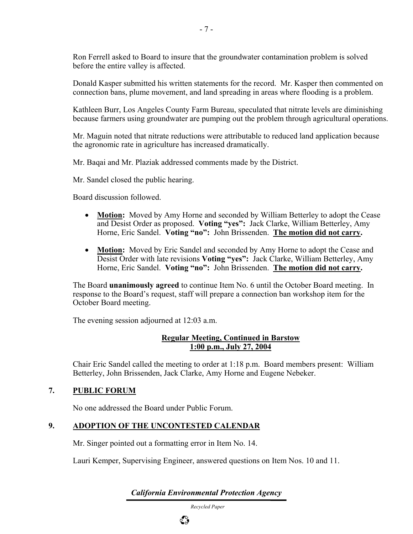Ron Ferrell asked to Board to insure that the groundwater contamination problem is solved before the entire valley is affected.

Donald Kasper submitted his written statements for the record. Mr. Kasper then commented on connection bans, plume movement, and land spreading in areas where flooding is a problem.

Kathleen Burr, Los Angeles County Farm Bureau, speculated that nitrate levels are diminishing because farmers using groundwater are pumping out the problem through agricultural operations.

Mr. Maguin noted that nitrate reductions were attributable to reduced land application because the agronomic rate in agriculture has increased dramatically.

Mr. Baqai and Mr. Plaziak addressed comments made by the District.

Mr. Sandel closed the public hearing.

Board discussion followed.

- **Motion:** Moved by Amy Horne and seconded by William Betterley to adopt the Cease and Desist Order as proposed. **Voting "yes":** Jack Clarke, William Betterley, Amy Horne, Eric Sandel. **Voting "no":** John Brissenden. **The motion did not carry.**
- **Motion:** Moved by Eric Sandel and seconded by Amy Horne to adopt the Cease and Desist Order with late revisions **Voting "yes":** Jack Clarke, William Betterley, Amy Horne, Eric Sandel. **Voting "no":** John Brissenden. **The motion did not carry.**

The Board **unanimously agreed** to continue Item No. 6 until the October Board meeting. In response to the Board's request, staff will prepare a connection ban workshop item for the October Board meeting.

The evening session adjourned at 12:03 a.m.

## **Regular Meeting, Continued in Barstow 1:00 p.m., July 27, 2004**

Chair Eric Sandel called the meeting to order at 1:18 p.m. Board members present: William Betterley, John Brissenden, Jack Clarke, Amy Horne and Eugene Nebeker.

#### **7. PUBLIC FORUM**

No one addressed the Board under Public Forum.

#### **9. ADOPTION OF THE UNCONTESTED CALENDAR**

Mr. Singer pointed out a formatting error in Item No. 14.

Lauri Kemper, Supervising Engineer, answered questions on Item Nos. 10 and 11.

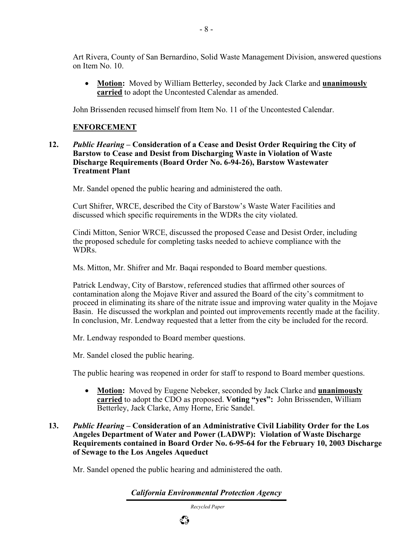Art Rivera, County of San Bernardino, Solid Waste Management Division, answered questions on Item No. 10.

• **Motion:** Moved by William Betterley, seconded by Jack Clarke and **unanimously carried** to adopt the Uncontested Calendar as amended.

John Brissenden recused himself from Item No. 11 of the Uncontested Calendar.

#### **ENFORCEMENT**

**12.** *Public Hearing* **– Consideration of a Cease and Desist Order Requiring the City of Barstow to Cease and Desist from Discharging Waste in Violation of Waste Discharge Requirements (Board Order No. 6-94-26), Barstow Wastewater Treatment Plant** 

Mr. Sandel opened the public hearing and administered the oath.

Curt Shifrer, WRCE, described the City of Barstow's Waste Water Facilities and discussed which specific requirements in the WDRs the city violated.

Cindi Mitton, Senior WRCE, discussed the proposed Cease and Desist Order, including the proposed schedule for completing tasks needed to achieve compliance with the WDRs.

Ms. Mitton, Mr. Shifrer and Mr. Baqai responded to Board member questions.

Patrick Lendway, City of Barstow, referenced studies that affirmed other sources of contamination along the Mojave River and assured the Board of the city's commitment to proceed in eliminating its share of the nitrate issue and improving water quality in the Mojave Basin. He discussed the workplan and pointed out improvements recently made at the facility. In conclusion, Mr. Lendway requested that a letter from the city be included for the record.

Mr. Lendway responded to Board member questions.

Mr. Sandel closed the public hearing.

The public hearing was reopened in order for staff to respond to Board member questions.

- **Motion:** Moved by Eugene Nebeker, seconded by Jack Clarke and **unanimously carried** to adopt the CDO as proposed. **Voting "yes":** John Brissenden, William Betterley, Jack Clarke, Amy Horne, Eric Sandel.
- **13.** *Public Hearing* **Consideration of an Administrative Civil Liability Order for the Los Angeles Department of Water and Power (LADWP): Violation of Waste Discharge Requirements contained in Board Order No. 6-95-64 for the February 10, 2003 Discharge of Sewage to the Los Angeles Aqueduct**

Mr. Sandel opened the public hearing and administered the oath.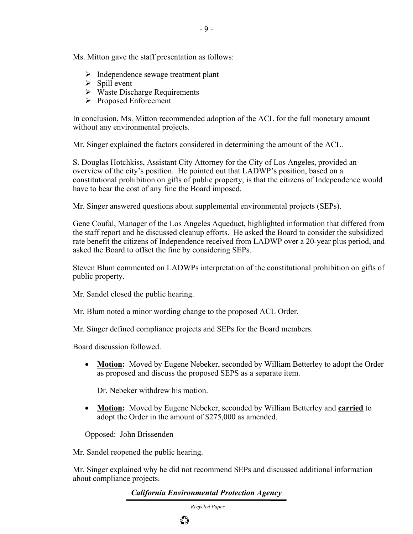Ms. Mitton gave the staff presentation as follows:

- $\triangleright$  Independence sewage treatment plant
- $\triangleright$  Spill event
- $\triangleright$  Waste Discharge Requirements
- ¾ Proposed Enforcement

In conclusion, Ms. Mitton recommended adoption of the ACL for the full monetary amount without any environmental projects.

Mr. Singer explained the factors considered in determining the amount of the ACL.

S. Douglas Hotchkiss, Assistant City Attorney for the City of Los Angeles, provided an overview of the city's position. He pointed out that LADWP's position, based on a constitutional prohibition on gifts of public property, is that the citizens of Independence would have to bear the cost of any fine the Board imposed.

Mr. Singer answered questions about supplemental environmental projects (SEPs).

Gene Coufal, Manager of the Los Angeles Aqueduct, highlighted information that differed from the staff report and he discussed cleanup efforts. He asked the Board to consider the subsidized rate benefit the citizens of Independence received from LADWP over a 20-year plus period, and asked the Board to offset the fine by considering SEPs.

Steven Blum commented on LADWPs interpretation of the constitutional prohibition on gifts of public property.

Mr. Sandel closed the public hearing.

Mr. Blum noted a minor wording change to the proposed ACL Order.

Mr. Singer defined compliance projects and SEPs for the Board members.

Board discussion followed.

• **Motion:** Moved by Eugene Nebeker, seconded by William Betterley to adopt the Order as proposed and discuss the proposed SEPS as a separate item.

Dr. Nebeker withdrew his motion.

• **Motion:** Moved by Eugene Nebeker, seconded by William Betterley and **carried** to adopt the Order in the amount of \$275,000 as amended.

Opposed: John Brissenden

Mr. Sandel reopened the public hearing.

Mr. Singer explained why he did not recommend SEPs and discussed additional information about compliance projects.

*California Environmental Protection Agency*



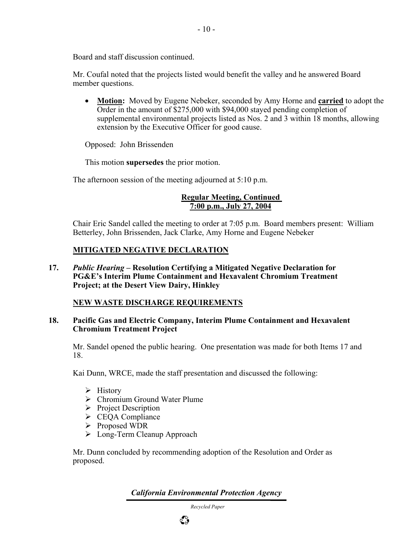Board and staff discussion continued.

Mr. Coufal noted that the projects listed would benefit the valley and he answered Board member questions.

• **Motion:** Moved by Eugene Nebeker, seconded by Amy Horne and **carried** to adopt the Order in the amount of \$275,000 with \$94,000 stayed pending completion of supplemental environmental projects listed as Nos. 2 and 3 within 18 months, allowing extension by the Executive Officer for good cause.

Opposed: John Brissenden

This motion **supersedes** the prior motion.

The afternoon session of the meeting adjourned at 5:10 p.m.

#### **Regular Meeting, Continued 7:00 p.m., July 27, 2004**

Chair Eric Sandel called the meeting to order at 7:05 p.m. Board members present: William Betterley, John Brissenden, Jack Clarke, Amy Horne and Eugene Nebeker

## **MITIGATED NEGATIVE DECLARATION**

**17.** *Public Hearing* **– Resolution Certifying a Mitigated Negative Declaration for PG&E's Interim Plume Containment and Hexavalent Chromium Treatment Project; at the Desert View Dairy, Hinkley** 

## **NEW WASTE DISCHARGE REQUIREMENTS**

#### **18. Pacific Gas and Electric Company, Interim Plume Containment and Hexavalent Chromium Treatment Project**

Mr. Sandel opened the public hearing. One presentation was made for both Items 17 and 18.

Kai Dunn, WRCE, made the staff presentation and discussed the following:

- $\triangleright$  History
- ¾ Chromium Ground Water Plume
- $\triangleright$  Project Description
- $\triangleright$  CEQA Compliance
- ¾ Proposed WDR
- $\triangleright$  Long-Term Cleanup Approach

Mr. Dunn concluded by recommending adoption of the Resolution and Order as proposed.

*California Environmental Protection Agency*